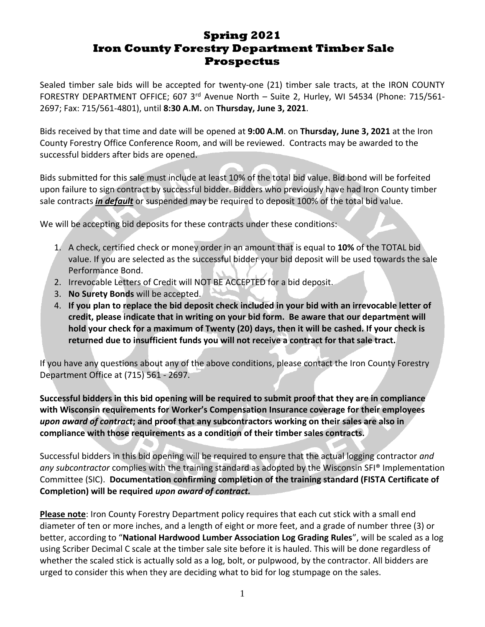# **Spring 2021 Iron County Forestry Department Timber Sale Prospectus**

Sealed timber sale bids will be accepted for twenty-one (21) timber sale tracts, at the IRON COUNTY FORESTRY DEPARTMENT OFFICE; 607 3<sup>rd</sup> Avenue North – Suite 2, Hurley, WI 54534 (Phone: 715/561-2697; Fax: 715/561-4801), until **8:30 A.M.** on **Thursday, June 3, 2021**.

Bids received by that time and date will be opened at **9:00 A.M**. on **Thursday, June 3, 2021** at the Iron County Forestry Office Conference Room, and will be reviewed. Contracts may be awarded to the successful bidders after bids are opened.

Bids submitted for this sale must include at least 10% of the total bid value. Bid bond will be forfeited upon failure to sign contract by successful bidder. Bidders who previously have had Iron County timber sale contracts *in default* or suspended may be required to deposit 100% of the total bid value.

We will be accepting bid deposits for these contracts under these conditions:

- 1. A check, certified check or money order in an amount that is equal to **10%** of the TOTAL bid value. If you are selected as the successful bidder your bid deposit will be used towards the sale Performance Bond.
- 2. Irrevocable Letters of Credit will NOT BE ACCEPTED for a bid deposit.
- 3. **No Surety Bonds** will be accepted.
- 4. **If you plan to replace the bid deposit check included in your bid with an irrevocable letter of credit, please indicate that in writing on your bid form. Be aware that our department will hold your check for a maximum of Twenty (20) days, then it will be cashed. If your check is returned due to insufficient funds you will not receive a contract for that sale tract.**

If you have any questions about any of the above conditions, please contact the Iron County Forestry Department Office at (715) 561 - 2697.

**Successful bidders in this bid opening will be required to submit proof that they are in compliance with Wisconsin requirements for Worker's Compensation Insurance coverage for their employees**  *upon award of contract***; and proof that any subcontractors working on their sales are also in compliance with those requirements as a condition of their timber sales contracts.** 

Successful bidders in this bid opening will be required to ensure that the actual logging contractor *and any subcontractor* complies with the training standard as adopted by the Wisconsin SFI® Implementation Committee (SIC). **Documentation confirming completion of the training standard (FISTA Certificate of Completion) will be required** *upon award of contract.*

**Please note**: Iron County Forestry Department policy requires that each cut stick with a small end diameter of ten or more inches, and a length of eight or more feet, and a grade of number three (3) or better, according to "**National Hardwood Lumber Association Log Grading Rules**", will be scaled as a log using Scriber Decimal C scale at the timber sale site before it is hauled. This will be done regardless of whether the scaled stick is actually sold as a log, bolt, or pulpwood, by the contractor. All bidders are urged to consider this when they are deciding what to bid for log stumpage on the sales.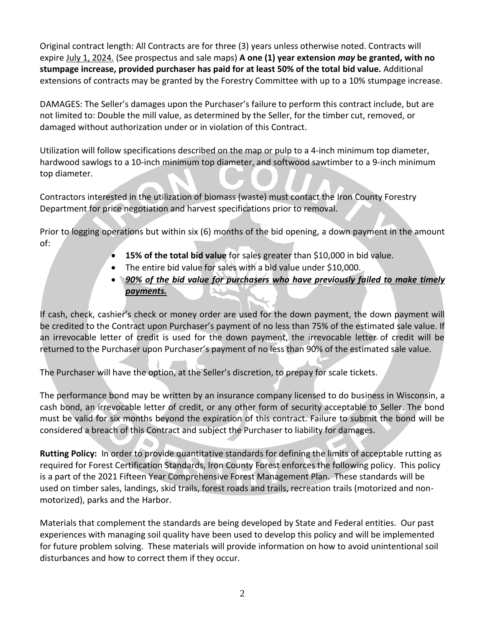Original contract length: All Contracts are for three (3) years unless otherwise noted. Contracts will expire July 1, 2024. (See prospectus and sale maps) **A one (1) year extension** *may* **be granted, with no stumpage increase, provided purchaser has paid for at least 50% of the total bid value.** Additional extensions of contracts may be granted by the Forestry Committee with up to a 10% stumpage increase.

DAMAGES: The Seller's damages upon the Purchaser's failure to perform this contract include, but are not limited to: Double the mill value, as determined by the Seller, for the timber cut, removed, or damaged without authorization under or in violation of this Contract.

Utilization will follow specifications described on the map or pulp to a 4-inch minimum top diameter, hardwood sawlogs to a 10-inch minimum top diameter, and softwood sawtimber to a 9-inch minimum top diameter.

Contractors interested in the utilization of biomass (waste) must contact the Iron County Forestry Department for price negotiation and harvest specifications prior to removal.

Prior to logging operations but within six (6) months of the bid opening, a down payment in the amount of:

- **15% of the total bid value** for sales greater than \$10,000 in bid value.
- The entire bid value for sales with a bid value under \$10,000.
- *90% of the bid value for purchasers who have previously failed to make timely payments.*

If cash, check, cashier's check or money order are used for the down payment, the down payment will be credited to the Contract upon Purchaser's payment of no less than 75% of the estimated sale value. If an irrevocable letter of credit is used for the down payment, the irrevocable letter of credit will be returned to the Purchaser upon Purchaser's payment of no less than 90% of the estimated sale value.

The Purchaser will have the option, at the Seller's discretion, to prepay for scale tickets.

The performance bond may be written by an insurance company licensed to do business in Wisconsin, a cash bond, an irrevocable letter of credit, or any other form of security acceptable to Seller. The bond must be valid for six months beyond the expiration of this contract. Failure to submit the bond will be considered a breach of this Contract and subject the Purchaser to liability for damages.

**Rutting Policy:** In order to provide quantitative standards for defining the limits of acceptable rutting as required for Forest Certification Standards, Iron County Forest enforces the following policy. This policy is a part of the 2021 Fifteen Year Comprehensive Forest Management Plan. These standards will be used on timber sales, landings, skid trails, forest roads and trails, recreation trails (motorized and nonmotorized), parks and the Harbor.

Materials that complement the standards are being developed by State and Federal entities. Our past experiences with managing soil quality have been used to develop this policy and will be implemented for future problem solving. These materials will provide information on how to avoid unintentional soil disturbances and how to correct them if they occur.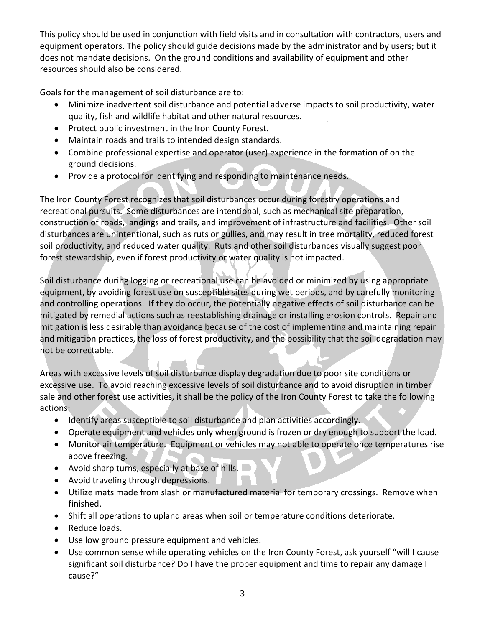This policy should be used in conjunction with field visits and in consultation with contractors, users and equipment operators. The policy should guide decisions made by the administrator and by users; but it does not mandate decisions. On the ground conditions and availability of equipment and other resources should also be considered.

Goals for the management of soil disturbance are to:

- Minimize inadvertent soil disturbance and potential adverse impacts to soil productivity, water quality, fish and wildlife habitat and other natural resources.
- Protect public investment in the Iron County Forest.
- Maintain roads and trails to intended design standards.
- Combine professional expertise and operator (user) experience in the formation of on the ground decisions.
- Provide a protocol for identifying and responding to maintenance needs.

The Iron County Forest recognizes that soil disturbances occur during forestry operations and recreational pursuits. Some disturbances are intentional, such as mechanical site preparation, construction of roads, landings and trails, and improvement of infrastructure and facilities. Other soil disturbances are unintentional, such as ruts or gullies, and may result in tree mortality, reduced forest soil productivity, and reduced water quality. Ruts and other soil disturbances visually suggest poor forest stewardship, even if forest productivity or water quality is not impacted.

Soil disturbance during logging or recreational use can be avoided or minimized by using appropriate equipment, by avoiding forest use on susceptible sites during wet periods, and by carefully monitoring and controlling operations. If they do occur, the potentially negative effects of soil disturbance can be mitigated by remedial actions such as reestablishing drainage or installing erosion controls. Repair and mitigation is less desirable than avoidance because of the cost of implementing and maintaining repair and mitigation practices, the loss of forest productivity, and the possibility that the soil degradation may not be correctable.

Areas with excessive levels of soil disturbance display degradation due to poor site conditions or excessive use. To avoid reaching excessive levels of soil disturbance and to avoid disruption in timber sale and other forest use activities, it shall be the policy of the Iron County Forest to take the following actions:

- Identify areas susceptible to soil disturbance and plan activities accordingly.
- Operate equipment and vehicles only when ground is frozen or dry enough to support the load.
- Monitor air temperature. Equipment or vehicles may not able to operate once temperatures rise above freezing.
- Avoid sharp turns, especially at base of hills.
- Avoid traveling through depressions.
- Utilize mats made from slash or manufactured material for temporary crossings. Remove when finished.
- Shift all operations to upland areas when soil or temperature conditions deteriorate.
- Reduce loads.
- Use low ground pressure equipment and vehicles.
- Use common sense while operating vehicles on the Iron County Forest, ask yourself "will I cause significant soil disturbance? Do I have the proper equipment and time to repair any damage I cause?"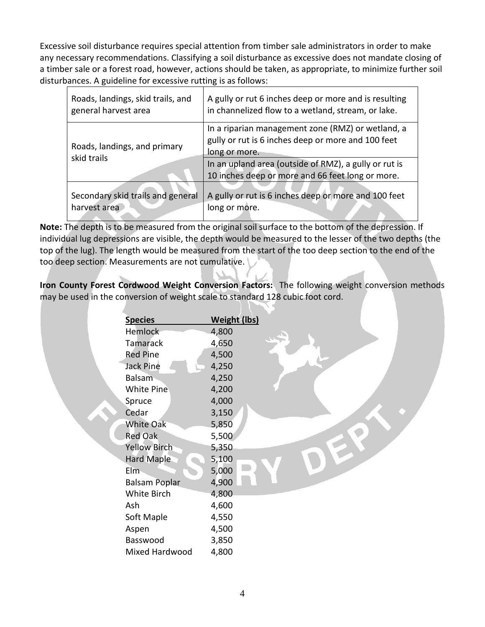Excessive soil disturbance requires special attention from timber sale administrators in order to make any necessary recommendations. Classifying a soil disturbance as excessive does not mandate closing of a timber sale or a forest road, however, actions should be taken, as appropriate, to minimize further soil disturbances. A guideline for excessive rutting is as follows:

| Roads, landings, skid trails, and           | A gully or rut 6 inches deep or more and is resulting                                                                    |
|---------------------------------------------|--------------------------------------------------------------------------------------------------------------------------|
| general harvest area                        | in channelized flow to a wetland, stream, or lake.                                                                       |
| Roads, landings, and primary<br>skid trails | In a riparian management zone (RMZ) or wetland, a<br>gully or rut is 6 inches deep or more and 100 feet<br>long or more. |
|                                             | In an upland area (outside of RMZ), a gully or rut is<br>10 inches deep or more and 66 feet long or more.                |
| Secondary skid trails and general           | A gully or rut is 6 inches deep or more and 100 feet                                                                     |
| harvest area                                | long or more.                                                                                                            |

**Note:** The depth is to be measured from the original soil surface to the bottom of the depression. If individual lug depressions are visible, the depth would be measured to the lesser of the two depths (the top of the lug). The length would be measured from the start of the too deep section to the end of the too deep section. Measurements are not cumulative.

**Iron County Forest Cordwood Weight Conversion Factors:** The following weight conversion methods may be used in the conversion of weight scale to standard 128 cubic foot cord.

| <b>Species</b>       | <b>Weight (lbs)</b> |
|----------------------|---------------------|
| <b>Hemlock</b>       | 4,800               |
| <b>Tamarack</b>      | 4,650               |
| <b>Red Pine</b>      | 4,500               |
| <b>Jack Pine</b>     | 4,250               |
| Balsam               | 4,250               |
| <b>White Pine</b>    | 4,200               |
| Spruce               | 4,000               |
| Cedar                | 3,150               |
| <b>White Oak</b>     | 5,850               |
| <b>Red Oak</b>       | 5,500               |
| <b>Yellow Birch</b>  | 5,350               |
| <b>Hard Maple</b>    | 5,100               |
| $E$ Im               | 5,000               |
| <b>Balsam Poplar</b> | 4,900               |
| White Birch          | 4,800               |
| Ash                  | 4,600               |
| Soft Maple           | 4,550               |
| Aspen                | 4,500               |
| Basswood             | 3,850               |
| Mixed Hardwood       | 4,800               |
|                      |                     |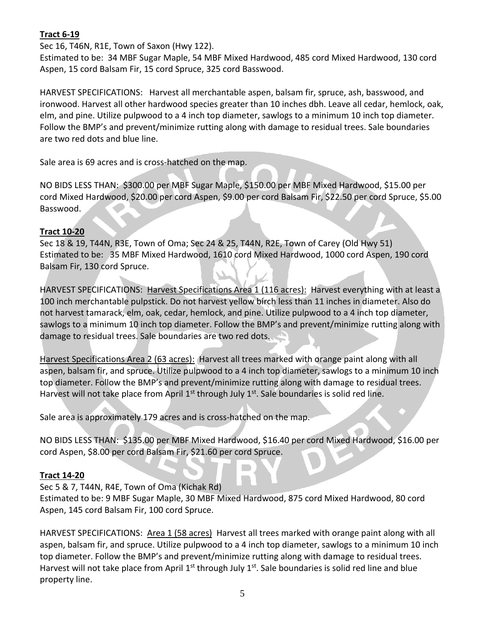### **Tract 6-19**

Sec 16, T46N, R1E, Town of Saxon (Hwy 122).

Estimated to be: 34 MBF Sugar Maple, 54 MBF Mixed Hardwood, 485 cord Mixed Hardwood, 130 cord Aspen, 15 cord Balsam Fir, 15 cord Spruce, 325 cord Basswood.

HARVEST SPECIFICATIONS: Harvest all merchantable aspen, balsam fir, spruce, ash, basswood, and ironwood. Harvest all other hardwood species greater than 10 inches dbh. Leave all cedar, hemlock, oak, elm, and pine. Utilize pulpwood to a 4 inch top diameter, sawlogs to a minimum 10 inch top diameter. Follow the BMP's and prevent/minimize rutting along with damage to residual trees. Sale boundaries are two red dots and blue line.

Sale area is 69 acres and is cross-hatched on the map.

NO BIDS LESS THAN: \$300.00 per MBF Sugar Maple, \$150.00 per MBF Mixed Hardwood, \$15.00 per cord Mixed Hardwood, \$20.00 per cord Aspen, \$9.00 per cord Balsam Fir, \$22.50 per cord Spruce, \$5.00 Basswood.

#### **Tract 10-20**

Sec 18 & 19, T44N, R3E, Town of Oma; Sec 24 & 25, T44N, R2E, Town of Carey (Old Hwy 51) Estimated to be: 35 MBF Mixed Hardwood, 1610 cord Mixed Hardwood, 1000 cord Aspen, 190 cord Balsam Fir, 130 cord Spruce.

HARVEST SPECIFICATIONS: Harvest Specifications Area 1 (116 acres): Harvest everything with at least a 100 inch merchantable pulpstick. Do not harvest yellow birch less than 11 inches in diameter. Also do not harvest tamarack, elm, oak, cedar, hemlock, and pine. Utilize pulpwood to a 4 inch top diameter, sawlogs to a minimum 10 inch top diameter. Follow the BMP's and prevent/minimize rutting along with damage to residual trees. Sale boundaries are two red dots.

Harvest Specifications Area 2 (63 acres): Harvest all trees marked with orange paint along with all aspen, balsam fir, and spruce. Utilize pulpwood to a 4 inch top diameter, sawlogs to a minimum 10 inch top diameter. Follow the BMP's and prevent/minimize rutting along with damage to residual trees. Harvest will not take place from April  $1^{st}$  through July  $1^{st}$ . Sale boundaries is solid red line.

Sale area is approximately 179 acres and is cross-hatched on the map.

NO BIDS LESS THAN: \$135.00 per MBF Mixed Hardwood, \$16.40 per cord Mixed Hardwood, \$16.00 per cord Aspen, \$8.00 per cord Balsam Fir, \$21.60 per cord Spruce.

#### **Tract 14-20**

Sec 5 & 7, T44N, R4E, Town of Oma (Kichak Rd)

Estimated to be: 9 MBF Sugar Maple, 30 MBF Mixed Hardwood, 875 cord Mixed Hardwood, 80 cord Aspen, 145 cord Balsam Fir, 100 cord Spruce.

HARVEST SPECIFICATIONS: Area 1 (58 acres) Harvest all trees marked with orange paint along with all aspen, balsam fir, and spruce. Utilize pulpwood to a 4 inch top diameter, sawlogs to a minimum 10 inch top diameter. Follow the BMP's and prevent/minimize rutting along with damage to residual trees. Harvest will not take place from April 1<sup>st</sup> through July 1<sup>st</sup>. Sale boundaries is solid red line and blue property line.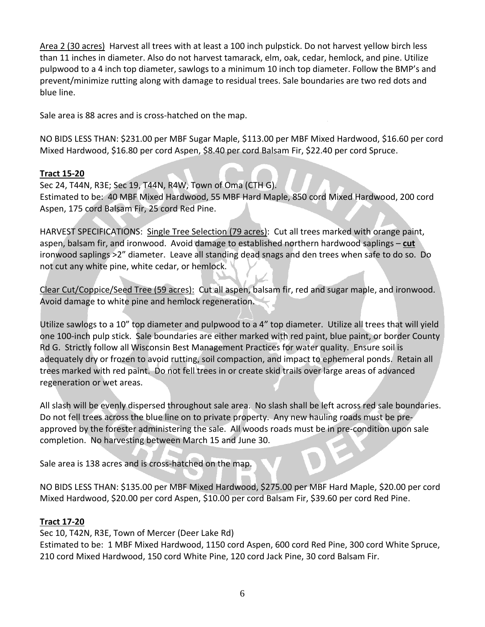Area 2 (30 acres) Harvest all trees with at least a 100 inch pulpstick. Do not harvest yellow birch less than 11 inches in diameter. Also do not harvest tamarack, elm, oak, cedar, hemlock, and pine. Utilize pulpwood to a 4 inch top diameter, sawlogs to a minimum 10 inch top diameter. Follow the BMP's and prevent/minimize rutting along with damage to residual trees. Sale boundaries are two red dots and blue line.

Sale area is 88 acres and is cross-hatched on the map.

NO BIDS LESS THAN: \$231.00 per MBF Sugar Maple, \$113.00 per MBF Mixed Hardwood, \$16.60 per cord Mixed Hardwood, \$16.80 per cord Aspen, \$8.40 per cord Balsam Fir, \$22.40 per cord Spruce.

### **Tract 15-20**

Sec 24, T44N, R3E; Sec 19, T44N, R4W, Town of Oma (CTH G). Estimated to be: 40 MBF Mixed Hardwood, 55 MBF Hard Maple, 850 cord Mixed Hardwood, 200 cord Aspen, 175 cord Balsam Fir, 25 cord Red Pine.

HARVEST SPECIFICATIONS: Single Tree Selection (79 acres): Cut all trees marked with orange paint, aspen, balsam fir, and ironwood. Avoid damage to established northern hardwood saplings – **cut** ironwood saplings >2" diameter. Leave all standing dead snags and den trees when safe to do so. Do not cut any white pine, white cedar, or hemlock.

Clear Cut/Coppice/Seed Tree (59 acres): Cut all aspen, balsam fir, red and sugar maple, and ironwood. Avoid damage to white pine and hemlock regeneration.

Utilize sawlogs to a 10" top diameter and pulpwood to a 4" top diameter. Utilize all trees that will yield one 100-inch pulp stick. Sale boundaries are either marked with red paint, blue paint, or border County Rd G. Strictly follow all Wisconsin Best Management Practices for water quality. Ensure soil is adequately dry or frozen to avoid rutting, soil compaction, and impact to ephemeral ponds. Retain all trees marked with red paint. Do not fell trees in or create skid trails over large areas of advanced regeneration or wet areas.

All slash will be evenly dispersed throughout sale area. No slash shall be left across red sale boundaries. Do not fell trees across the blue line on to private property. Any new hauling roads must be preapproved by the forester administering the sale. All woods roads must be in pre-condition upon sale completion. No harvesting between March 15 and June 30.

Sale area is 138 acres and is cross-hatched on the map.

NO BIDS LESS THAN: \$135.00 per MBF Mixed Hardwood, \$275.00 per MBF Hard Maple, \$20.00 per cord Mixed Hardwood, \$20.00 per cord Aspen, \$10.00 per cord Balsam Fir, \$39.60 per cord Red Pine.

#### **Tract 17-20**

Sec 10, T42N, R3E, Town of Mercer (Deer Lake Rd)

Estimated to be: 1 MBF Mixed Hardwood, 1150 cord Aspen, 600 cord Red Pine, 300 cord White Spruce, 210 cord Mixed Hardwood, 150 cord White Pine, 120 cord Jack Pine, 30 cord Balsam Fir.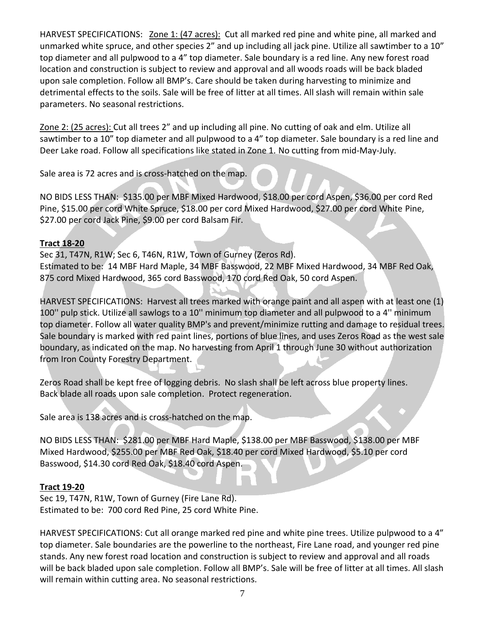HARVEST SPECIFICATIONS: Zone 1: (47 acres): Cut all marked red pine and white pine, all marked and unmarked white spruce, and other species 2" and up including all jack pine. Utilize all sawtimber to a 10" top diameter and all pulpwood to a 4" top diameter. Sale boundary is a red line. Any new forest road location and construction is subject to review and approval and all woods roads will be back bladed upon sale completion. Follow all BMP's. Care should be taken during harvesting to minimize and detrimental effects to the soils. Sale will be free of litter at all times. All slash will remain within sale parameters. No seasonal restrictions.

Zone 2: (25 acres): Cut all trees 2" and up including all pine. No cutting of oak and elm. Utilize all sawtimber to a 10" top diameter and all pulpwood to a 4" top diameter. Sale boundary is a red line and Deer Lake road. Follow all specifications like stated in Zone 1. No cutting from mid-May-July.

Sale area is 72 acres and is cross-hatched on the map.

NO BIDS LESS THAN: \$135.00 per MBF Mixed Hardwood, \$18.00 per cord Aspen, \$36.00 per cord Red Pine, \$15.00 per cord White Spruce, \$18.00 per cord Mixed Hardwood, \$27.00 per cord White Pine, \$27.00 per cord Jack Pine, \$9.00 per cord Balsam Fir.

### **Tract 18-20**

Sec 31, T47N, R1W; Sec 6, T46N, R1W, Town of Gurney (Zeros Rd). Estimated to be: 14 MBF Hard Maple, 34 MBF Basswood, 22 MBF Mixed Hardwood, 34 MBF Red Oak, 875 cord Mixed Hardwood, 365 cord Basswood, 170 cord Red Oak, 50 cord Aspen.

HARVEST SPECIFICATIONS: Harvest all trees marked with orange paint and all aspen with at least one (1) 100'' pulp stick. Utilize all sawlogs to a 10'' minimum top diameter and all pulpwood to a 4'' minimum top diameter. Follow all water quality BMP's and prevent/minimize rutting and damage to residual trees. Sale boundary is marked with red paint lines, portions of blue lines, and uses Zeros Road as the west sale boundary, as indicated on the map. No harvesting from April 1 through June 30 without authorization from Iron County Forestry Department.

Zeros Road shall be kept free of logging debris. No slash shall be left across blue property lines. Back blade all roads upon sale completion. Protect regeneration.

Sale area is 138 acres and is cross-hatched on the map.

NO BIDS LESS THAN: \$281.00 per MBF Hard Maple, \$138.00 per MBF Basswood, \$138.00 per MBF Mixed Hardwood, \$255.00 per MBF Red Oak, \$18.40 per cord Mixed Hardwood, \$5.10 per cord Basswood, \$14.30 cord Red Oak, \$18.40 cord Aspen.

#### **Tract 19-20**

Sec 19, T47N, R1W, Town of Gurney (Fire Lane Rd). Estimated to be: 700 cord Red Pine, 25 cord White Pine.

HARVEST SPECIFICATIONS: Cut all orange marked red pine and white pine trees. Utilize pulpwood to a 4" top diameter. Sale boundaries are the powerline to the northeast, Fire Lane road, and younger red pine stands. Any new forest road location and construction is subject to review and approval and all roads will be back bladed upon sale completion. Follow all BMP's. Sale will be free of litter at all times. All slash will remain within cutting area. No seasonal restrictions.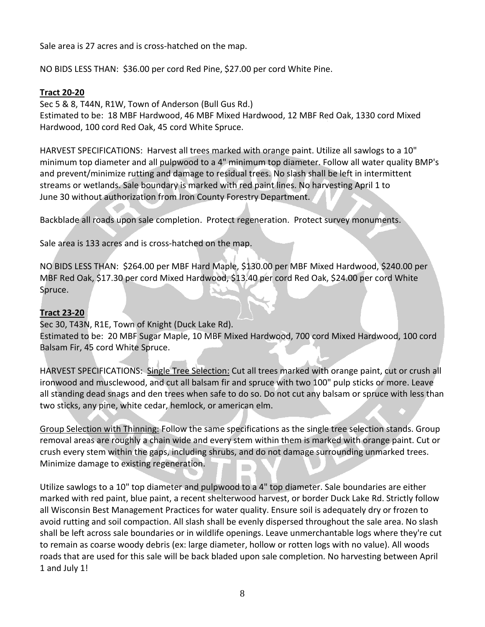Sale area is 27 acres and is cross-hatched on the map.

NO BIDS LESS THAN: \$36.00 per cord Red Pine, \$27.00 per cord White Pine.

#### **Tract 20-20**

Sec 5 & 8, T44N, R1W, Town of Anderson (Bull Gus Rd.)

Estimated to be: 18 MBF Hardwood, 46 MBF Mixed Hardwood, 12 MBF Red Oak, 1330 cord Mixed Hardwood, 100 cord Red Oak, 45 cord White Spruce.

HARVEST SPECIFICATIONS: Harvest all trees marked with orange paint. Utilize all sawlogs to a 10" minimum top diameter and all pulpwood to a 4" minimum top diameter. Follow all water quality BMP's and prevent/minimize rutting and damage to residual trees. No slash shall be left in intermittent streams or wetlands. Sale boundary is marked with red paint lines. No harvesting April 1 to June 30 without authorization from Iron County Forestry Department.

Backblade all roads upon sale completion. Protect regeneration. Protect survey monuments.

Sale area is 133 acres and is cross-hatched on the map.

NO BIDS LESS THAN: \$264.00 per MBF Hard Maple, \$130.00 per MBF Mixed Hardwood, \$240.00 per MBF Red Oak, \$17.30 per cord Mixed Hardwood, \$13.40 per cord Red Oak, \$24.00 per cord White Spruce.

## **Tract 23-20**

Sec 30, T43N, R1E, Town of Knight (Duck Lake Rd). Estimated to be: 20 MBF Sugar Maple, 10 MBF Mixed Hardwood, 700 cord Mixed Hardwood, 100 cord Balsam Fir, 45 cord White Spruce.

HARVEST SPECIFICATIONS: Single Tree Selection: Cut all trees marked with orange paint, cut or crush all ironwood and musclewood, and cut all balsam fir and spruce with two 100" pulp sticks or more. Leave all standing dead snags and den trees when safe to do so. Do not cut any balsam or spruce with less than two sticks, any pine, white cedar, hemlock, or american elm.

Group Selection with Thinning: Follow the same specifications as the single tree selection stands. Group removal areas are roughly a chain wide and every stem within them is marked with orange paint. Cut or crush every stem within the gaps, including shrubs, and do not damage surrounding unmarked trees. Minimize damage to existing regeneration.

Utilize sawlogs to a 10" top diameter and pulpwood to a 4" top diameter. Sale boundaries are either marked with red paint, blue paint, a recent shelterwood harvest, or border Duck Lake Rd. Strictly follow all Wisconsin Best Management Practices for water quality. Ensure soil is adequately dry or frozen to avoid rutting and soil compaction. All slash shall be evenly dispersed throughout the sale area. No slash shall be left across sale boundaries or in wildlife openings. Leave unmerchantable logs where they're cut to remain as coarse woody debris (ex: large diameter, hollow or rotten logs with no value). All woods roads that are used for this sale will be back bladed upon sale completion. No harvesting between April 1 and July 1!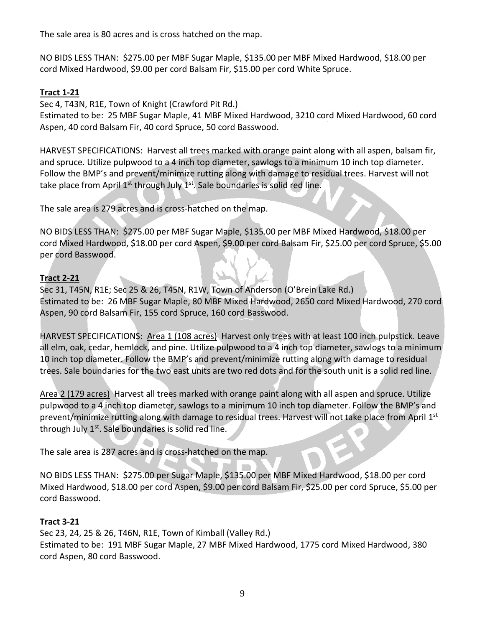The sale area is 80 acres and is cross hatched on the map.

NO BIDS LESS THAN: \$275.00 per MBF Sugar Maple, \$135.00 per MBF Mixed Hardwood, \$18.00 per cord Mixed Hardwood, \$9.00 per cord Balsam Fir, \$15.00 per cord White Spruce.

### **Tract 1-21**

Sec 4, T43N, R1E, Town of Knight (Crawford Pit Rd.)

Estimated to be: 25 MBF Sugar Maple, 41 MBF Mixed Hardwood, 3210 cord Mixed Hardwood, 60 cord Aspen, 40 cord Balsam Fir, 40 cord Spruce, 50 cord Basswood.

HARVEST SPECIFICATIONS: Harvest all trees marked with orange paint along with all aspen, balsam fir, and spruce. Utilize pulpwood to a 4 inch top diameter, sawlogs to a minimum 10 inch top diameter. Follow the BMP's and prevent/minimize rutting along with damage to residual trees. Harvest will not take place from April 1<sup>st</sup> through July 1<sup>st</sup>. Sale boundaries is solid red line.

The sale area is 279 acres and is cross-hatched on the map.

NO BIDS LESS THAN: \$275.00 per MBF Sugar Maple, \$135.00 per MBF Mixed Hardwood, \$18.00 per cord Mixed Hardwood, \$18.00 per cord Aspen, \$9.00 per cord Balsam Fir, \$25.00 per cord Spruce, \$5.00 per cord Basswood.

## **Tract 2-21**

Sec 31, T45N, R1E; Sec 25 & 26, T45N, R1W, Town of Anderson (O'Brein Lake Rd.) Estimated to be: 26 MBF Sugar Maple, 80 MBF Mixed Hardwood, 2650 cord Mixed Hardwood, 270 cord Aspen, 90 cord Balsam Fir, 155 cord Spruce, 160 cord Basswood.

HARVEST SPECIFICATIONS: Area 1 (108 acres) Harvest only trees with at least 100 inch pulpstick. Leave all elm, oak, cedar, hemlock, and pine. Utilize pulpwood to a 4 inch top diameter, sawlogs to a minimum 10 inch top diameter. Follow the BMP's and prevent/minimize rutting along with damage to residual trees. Sale boundaries for the two east units are two red dots and for the south unit is a solid red line.

Area 2 (179 acres) Harvest all trees marked with orange paint along with all aspen and spruce. Utilize pulpwood to a 4 inch top diameter, sawlogs to a minimum 10 inch top diameter. Follow the BMP's and prevent/minimize rutting along with damage to residual trees. Harvest will not take place from April 1st through July  $1<sup>st</sup>$ . Sale boundaries is solid red line.

The sale area is 287 acres and is cross-hatched on the map.

NO BIDS LESS THAN: \$275.00 per Sugar Maple, \$135.00 per MBF Mixed Hardwood, \$18.00 per cord Mixed Hardwood, \$18.00 per cord Aspen, \$9.00 per cord Balsam Fir, \$25.00 per cord Spruce, \$5.00 per cord Basswood.

### **Tract 3-21**

Sec 23, 24, 25 & 26, T46N, R1E, Town of Kimball (Valley Rd.) Estimated to be: 191 MBF Sugar Maple, 27 MBF Mixed Hardwood, 1775 cord Mixed Hardwood, 380 cord Aspen, 80 cord Basswood.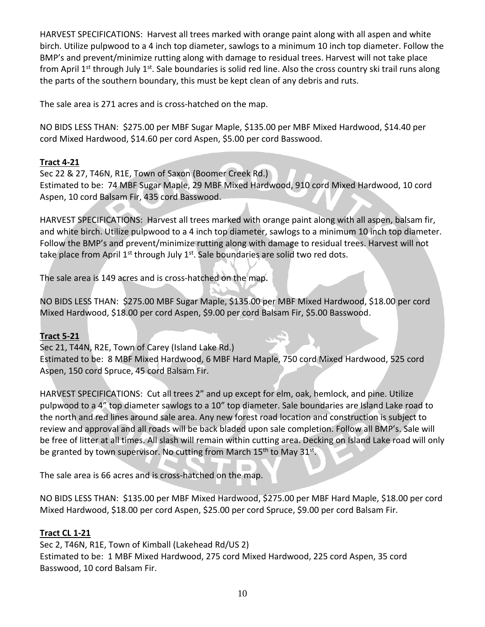HARVEST SPECIFICATIONS: Harvest all trees marked with orange paint along with all aspen and white birch. Utilize pulpwood to a 4 inch top diameter, sawlogs to a minimum 10 inch top diameter. Follow the BMP's and prevent/minimize rutting along with damage to residual trees. Harvest will not take place from April 1<sup>st</sup> through July 1<sup>st</sup>. Sale boundaries is solid red line. Also the cross country ski trail runs along the parts of the southern boundary, this must be kept clean of any debris and ruts.

The sale area is 271 acres and is cross-hatched on the map.

NO BIDS LESS THAN: \$275.00 per MBF Sugar Maple, \$135.00 per MBF Mixed Hardwood, \$14.40 per cord Mixed Hardwood, \$14.60 per cord Aspen, \$5.00 per cord Basswood.

### **Tract 4-21**

Sec 22 & 27, T46N, R1E, Town of Saxon (Boomer Creek Rd.) Estimated to be: 74 MBF Sugar Maple, 29 MBF Mixed Hardwood, 910 cord Mixed Hardwood, 10 cord Aspen, 10 cord Balsam Fir, 435 cord Basswood.

HARVEST SPECIFICATIONS: Harvest all trees marked with orange paint along with all aspen, balsam fir, and white birch. Utilize pulpwood to a 4 inch top diameter, sawlogs to a minimum 10 inch top diameter. Follow the BMP's and prevent/minimize rutting along with damage to residual trees. Harvest will not take place from April  $1^{st}$  through July  $1^{st}$ . Sale boundaries are solid two red dots.

The sale area is 149 acres and is cross-hatched on the map.

NO BIDS LESS THAN: \$275.00 MBF Sugar Maple, \$135.00 per MBF Mixed Hardwood, \$18.00 per cord Mixed Hardwood, \$18.00 per cord Aspen, \$9.00 per cord Balsam Fir, \$5.00 Basswood.

### **Tract 5-21**

Sec 21, T44N, R2E, Town of Carey (Island Lake Rd.) Estimated to be: 8 MBF Mixed Hardwood, 6 MBF Hard Maple, 750 cord Mixed Hardwood, 525 cord Aspen, 150 cord Spruce, 45 cord Balsam Fir.

HARVEST SPECIFICATIONS: Cut all trees 2" and up except for elm, oak, hemlock, and pine. Utilize pulpwood to a 4" top diameter sawlogs to a 10" top diameter. Sale boundaries are Island Lake road to the north and red lines around sale area. Any new forest road location and construction is subject to review and approval and all roads will be back bladed upon sale completion. Follow all BMP's. Sale will be free of litter at all times. All slash will remain within cutting area. Decking on Island Lake road will only be granted by town supervisor. No cutting from March 15<sup>th</sup> to May 31<sup>st</sup>.

The sale area is 66 acres and is cross-hatched on the map.

NO BIDS LESS THAN: \$135.00 per MBF Mixed Hardwood, \$275.00 per MBF Hard Maple, \$18.00 per cord Mixed Hardwood, \$18.00 per cord Aspen, \$25.00 per cord Spruce, \$9.00 per cord Balsam Fir.

### **Tract CL 1-21**

Sec 2, T46N, R1E, Town of Kimball (Lakehead Rd/US 2) Estimated to be: 1 MBF Mixed Hardwood, 275 cord Mixed Hardwood, 225 cord Aspen, 35 cord Basswood, 10 cord Balsam Fir.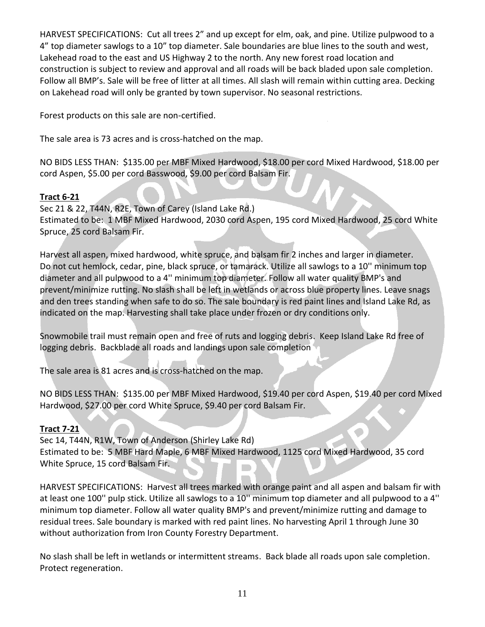HARVEST SPECIFICATIONS: Cut all trees 2" and up except for elm, oak, and pine. Utilize pulpwood to a 4" top diameter sawlogs to a 10" top diameter. Sale boundaries are blue lines to the south and west, Lakehead road to the east and US Highway 2 to the north. Any new forest road location and construction is subject to review and approval and all roads will be back bladed upon sale completion. Follow all BMP's. Sale will be free of litter at all times. All slash will remain within cutting area. Decking on Lakehead road will only be granted by town supervisor. No seasonal restrictions.

Forest products on this sale are non-certified.

The sale area is 73 acres and is cross-hatched on the map.

NO BIDS LESS THAN: \$135.00 per MBF Mixed Hardwood, \$18.00 per cord Mixed Hardwood, \$18.00 per cord Aspen, \$5.00 per cord Basswood, \$9.00 per cord Balsam Fir.

### **Tract 6-21**

Sec 21 & 22, T44N, R2E, Town of Carey (Island Lake Rd.) Estimated to be: 1 MBF Mixed Hardwood, 2030 cord Aspen, 195 cord Mixed Hardwood, 25 cord White Spruce, 25 cord Balsam Fir.

Harvest all aspen, mixed hardwood, white spruce, and balsam fir 2 inches and larger in diameter. Do not cut hemlock, cedar, pine, black spruce, or tamarack. Utilize all sawlogs to a 10'' minimum top diameter and all pulpwood to a 4'' minimum top diameter. Follow all water quality BMP's and prevent/minimize rutting. No slash shall be left in wetlands or across blue property lines. Leave snags and den trees standing when safe to do so. The sale boundary is red paint lines and Island Lake Rd, as indicated on the map. Harvesting shall take place under frozen or dry conditions only.

Snowmobile trail must remain open and free of ruts and logging debris. Keep Island Lake Rd free of logging debris. Backblade all roads and landings upon sale completion

The sale area is 81 acres and is cross-hatched on the map.

NO BIDS LESS THAN: \$135.00 per MBF Mixed Hardwood, \$19.40 per cord Aspen, \$19.40 per cord Mixed Hardwood, \$27.00 per cord White Spruce, \$9.40 per cord Balsam Fir.

#### **Tract 7-21**

Sec 14, T44N, R1W, Town of Anderson (Shirley Lake Rd) Estimated to be: 5 MBF Hard Maple, 6 MBF Mixed Hardwood, 1125 cord Mixed Hardwood, 35 cord White Spruce, 15 cord Balsam Fir.

HARVEST SPECIFICATIONS: Harvest all trees marked with orange paint and all aspen and balsam fir with at least one 100'' pulp stick. Utilize all sawlogs to a 10'' minimum top diameter and all pulpwood to a 4'' minimum top diameter. Follow all water quality BMP's and prevent/minimize rutting and damage to residual trees. Sale boundary is marked with red paint lines. No harvesting April 1 through June 30 without authorization from Iron County Forestry Department.

No slash shall be left in wetlands or intermittent streams. Back blade all roads upon sale completion. Protect regeneration.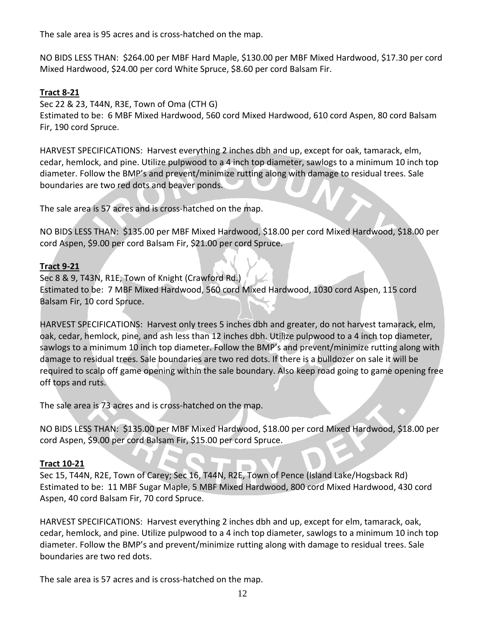The sale area is 95 acres and is cross-hatched on the map.

NO BIDS LESS THAN: \$264.00 per MBF Hard Maple, \$130.00 per MBF Mixed Hardwood, \$17.30 per cord Mixed Hardwood, \$24.00 per cord White Spruce, \$8.60 per cord Balsam Fir.

## **Tract 8-21**

Sec 22 & 23, T44N, R3E, Town of Oma (CTH G)

Estimated to be: 6 MBF Mixed Hardwood, 560 cord Mixed Hardwood, 610 cord Aspen, 80 cord Balsam Fir, 190 cord Spruce.

HARVEST SPECIFICATIONS: Harvest everything 2 inches dbh and up, except for oak, tamarack, elm, cedar, hemlock, and pine. Utilize pulpwood to a 4 inch top diameter, sawlogs to a minimum 10 inch top diameter. Follow the BMP's and prevent/minimize rutting along with damage to residual trees. Sale boundaries are two red dots and beaver ponds.

The sale area is 57 acres and is cross-hatched on the map.

NO BIDS LESS THAN: \$135.00 per MBF Mixed Hardwood, \$18.00 per cord Mixed Hardwood, \$18.00 per cord Aspen, \$9.00 per cord Balsam Fir, \$21.00 per cord Spruce.

## **Tract 9-21**

Sec 8 & 9, T43N, R1E, Town of Knight (Crawford Rd.) Estimated to be: 7 MBF Mixed Hardwood, 560 cord Mixed Hardwood, 1030 cord Aspen, 115 cord Balsam Fir, 10 cord Spruce.

HARVEST SPECIFICATIONS: Harvest only trees 5 inches dbh and greater, do not harvest tamarack, elm, oak, cedar, hemlock, pine, and ash less than 12 inches dbh. Utilize pulpwood to a 4 inch top diameter, sawlogs to a minimum 10 inch top diameter. Follow the BMP's and prevent/minimize rutting along with damage to residual trees. Sale boundaries are two red dots. If there is a bulldozer on sale it will be required to scalp off game opening within the sale boundary. Also keep road going to game opening free off tops and ruts.

The sale area is 73 acres and is cross-hatched on the map.

NO BIDS LESS THAN: \$135.00 per MBF Mixed Hardwood, \$18.00 per cord Mixed Hardwood, \$18.00 per cord Aspen, \$9.00 per cord Balsam Fir, \$15.00 per cord Spruce.

## **Tract 10-21**

Sec 15, T44N, R2E, Town of Carey; Sec 16, T44N, R2E, Town of Pence (Island Lake/Hogsback Rd) Estimated to be: 11 MBF Sugar Maple, 5 MBF Mixed Hardwood, 800 cord Mixed Hardwood, 430 cord Aspen, 40 cord Balsam Fir, 70 cord Spruce.

HARVEST SPECIFICATIONS: Harvest everything 2 inches dbh and up, except for elm, tamarack, oak, cedar, hemlock, and pine. Utilize pulpwood to a 4 inch top diameter, sawlogs to a minimum 10 inch top diameter. Follow the BMP's and prevent/minimize rutting along with damage to residual trees. Sale boundaries are two red dots.

The sale area is 57 acres and is cross-hatched on the map.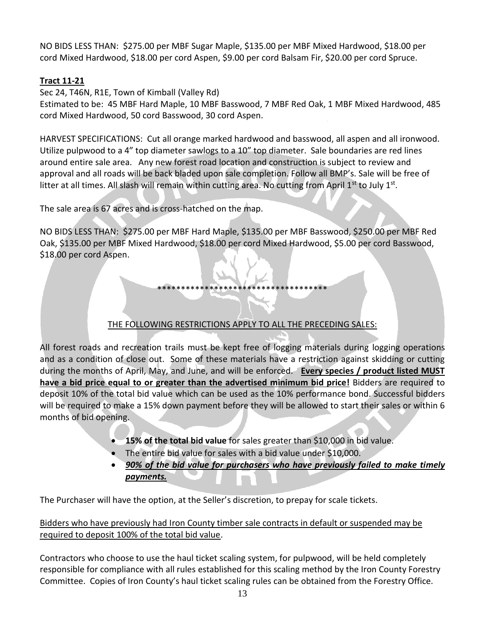NO BIDS LESS THAN: \$275.00 per MBF Sugar Maple, \$135.00 per MBF Mixed Hardwood, \$18.00 per cord Mixed Hardwood, \$18.00 per cord Aspen, \$9.00 per cord Balsam Fir, \$20.00 per cord Spruce.

## **Tract 11-21**

Sec 24, T46N, R1E, Town of Kimball (Valley Rd)

Estimated to be: 45 MBF Hard Maple, 10 MBF Basswood, 7 MBF Red Oak, 1 MBF Mixed Hardwood, 485 cord Mixed Hardwood, 50 cord Basswood, 30 cord Aspen.

HARVEST SPECIFICATIONS: Cut all orange marked hardwood and basswood, all aspen and all ironwood. Utilize pulpwood to a 4" top diameter sawlogs to a 10" top diameter. Sale boundaries are red lines around entire sale area. Any new forest road location and construction is subject to review and approval and all roads will be back bladed upon sale completion. Follow all BMP's. Sale will be free of litter at all times. All slash will remain within cutting area. No cutting from April 1<sup>st</sup> to July 1<sup>st</sup>.

The sale area is 67 acres and is cross-hatched on the map.

NO BIDS LESS THAN: \$275.00 per MBF Hard Maple, \$135.00 per MBF Basswood, \$250.00 per MBF Red Oak, \$135.00 per MBF Mixed Hardwood, \$18.00 per cord Mixed Hardwood, \$5.00 per cord Basswood, \$18.00 per cord Aspen.

## THE FOLLOWING RESTRICTIONS APPLY TO ALL THE PRECEDING SALES:

\*\*\*\*\*\*\*\*\*\*\*\*\*\*\*\*\*\*\*\*\*\*\*\*\*\*\*\*\*\*\*\*\*\*\*\*

All forest roads and recreation trails must be kept free of logging materials during logging operations and as a condition of close out. Some of these materials have a restriction against skidding or cutting during the months of April, May, and June, and will be enforced. **Every species / product listed MUST have a bid price equal to or greater than the advertised minimum bid price!** Bidders are required to deposit 10% of the total bid value which can be used as the 10% performance bond. Successful bidders will be required to make a 15% down payment before they will be allowed to start their sales or within 6 months of bid opening.

- **15% of the total bid value** for sales greater than \$10,000 in bid value.
- The entire bid value for sales with a bid value under \$10,000.
- *90% of the bid value for purchasers who have previously failed to make timely payments.*

The Purchaser will have the option, at the Seller's discretion, to prepay for scale tickets.

### Bidders who have previously had Iron County timber sale contracts in default or suspended may be required to deposit 100% of the total bid value.

Contractors who choose to use the haul ticket scaling system, for pulpwood, will be held completely responsible for compliance with all rules established for this scaling method by the Iron County Forestry Committee. Copies of Iron County's haul ticket scaling rules can be obtained from the Forestry Office.